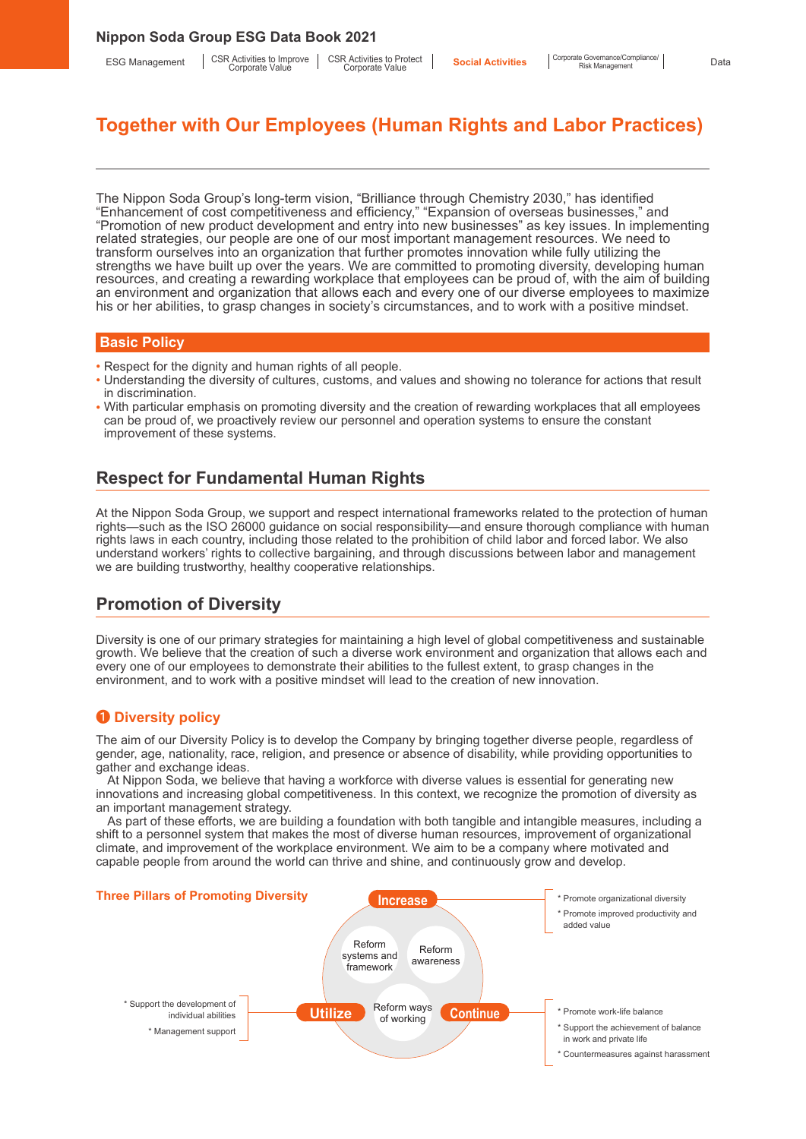ESG Management | CSR Activities to Improve | CSR Activities to Improve |

# **Together with Our Employees (Human Rights and Labor Practices)**

The Nippon Soda Group's long-term vision, "Brilliance through Chemistry 2030," has identified "Enhancement of cost competitiveness and efficiency," "Expansion of overseas businesses," and "Promotion of new product development and entry into new businesses" as key issues. In implementing related strategies, our people are one of our most important management resources. We need to transform ourselves into an organization that further promotes innovation while fully utilizing the strengths we have built up over the years. We are committed to promoting diversity, developing human resources, and creating a rewarding workplace that employees can be proud of, with the aim of building an environment and organization that allows each and every one of our diverse employees to maximize his or her abilities, to grasp changes in society's circumstances, and to work with a positive mindset.

## **Basic Policy**

- Respect for the dignity and human rights of all people.
- Understanding the diversity of cultures, customs, and values and showing no tolerance for actions that result in discrimination.
- With particular emphasis on promoting diversity and the creation of rewarding workplaces that all employees can be proud of, we proactively review our personnel and operation systems to ensure the constant improvement of these systems.

# **Respect for Fundamental Human Rights**

At the Nippon Soda Group, we support and respect international frameworks related to the protection of human rights—such as the ISO 26000 guidance on social responsibility—and ensure thorough compliance with human rights laws in each country, including those related to the prohibition of child labor and forced labor. We also understand workers' rights to collective bargaining, and through discussions between labor and management we are building trustworthy, healthy cooperative relationships.

# **Promotion of Diversity**

Diversity is one of our primary strategies for maintaining a high level of global competitiveness and sustainable growth. We believe that the creation of such a diverse work environment and organization that allows each and every one of our employees to demonstrate their abilities to the fullest extent, to grasp changes in the environment, and to work with a positive mindset will lead to the creation of new innovation.

# ❶ **Diversity policy**

The aim of our Diversity Policy is to develop the Company by bringing together diverse people, regardless of gender, age, nationality, race, religion, and presence or absence of disability, while providing opportunities to gather and exchange ideas.

At Nippon Soda, we believe that having a workforce with diverse values is essential for generating new innovations and increasing global competitiveness. In this context, we recognize the promotion of diversity as an important management strategy.

As part of these efforts, we are building a foundation with both tangible and intangible measures, including a shift to a personnel system that makes the most of diverse human resources, improvement of organizational climate, and improvement of the workplace environment. We aim to be a company where motivated and capable people from around the world can thrive and shine, and continuously grow and develop.

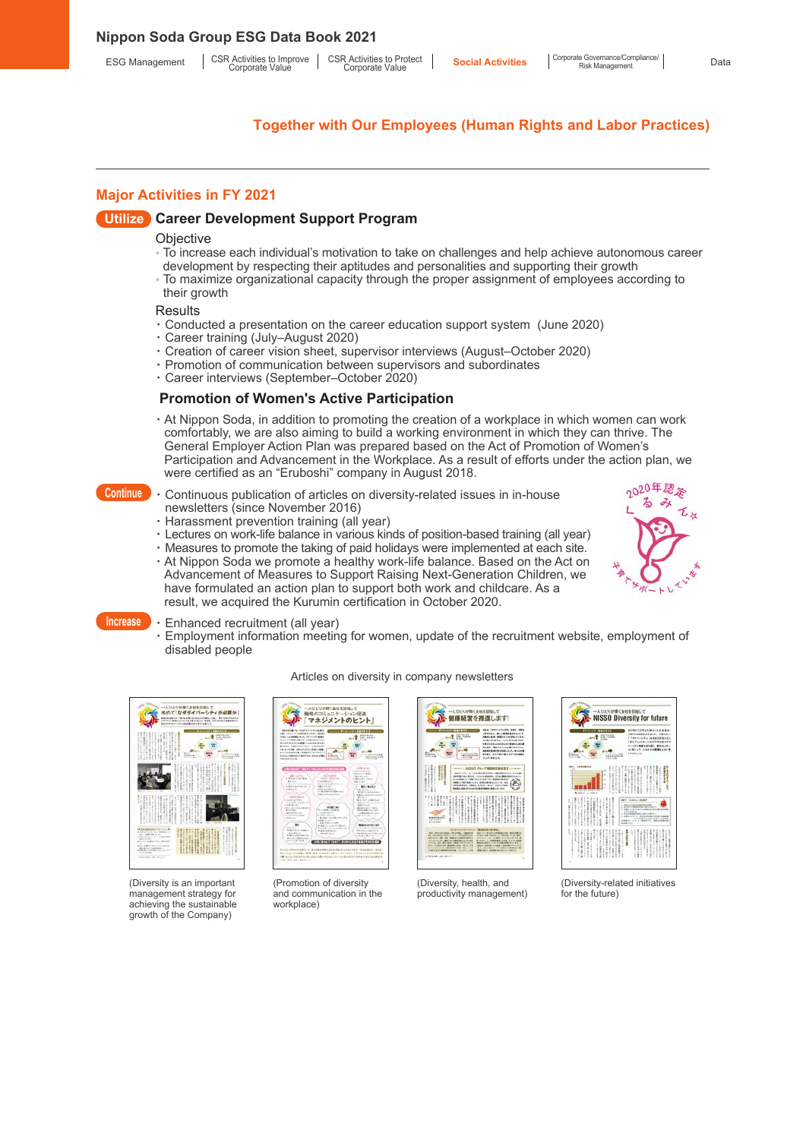## **Major Activities in FY 2021**

### **Utilize Career Development Support Program**

#### **Objective**

- To increase each individual's motivation to take on challenges and help achieve autonomous career
	- development by respecting their aptitudes and personalities and supporting their growth
- To maximize organizational capacity through the proper assignment of employees according to their growth

#### **Results**

- · Conducted a presentation on the career education support system (June 2020)
- Career training (July–August 2020)
- · Creation of career vision sheet, supervisor interviews (August–October 2020)
- Promotion of communication between supervisors and subordinates<br>• Career interviews (September–October 2020)
- Career interviews (September–October 2020)

#### **Promotion of Women's Active Participation**

- · At Nippon Soda, in addition to promoting the creation of a workplace in which women can work comfortably, we are also aiming to build a working environment in which they can thrive. The General Employer Action Plan was prepared based on the Act of Promotion of Women's Participation and Advancement in the Workplace. As a result of efforts under the action plan, we were certified as an "Eruboshi" company in August 2018.
- **Continue** · Continuous publication of articles on diversity-related issues in in-house newsletters (since November 2016)
	- · Harassment prevention training (all year)
	- · Lectures on work-life balance in various kinds of position-based training (all year)
	- · Measures to promote the taking of paid holidays were implemented at each site.
	- · At Nippon Soda we promote a healthy work-life balance. Based on the Act on Advancement of Measures to Support Raising Next-Generation Children, we have formulated an action plan to support both work and childcare. As a result, we acquired the Kurumin certification in October 2020.



#### **Increase** · Enhanced recruitment (all year)

 · Employment information meeting for women, update of the recruitment website, employment of disabled people



(Diversity is an important management strategy for achieving the sustainable growth of the Company)

# Articles on diversity in company newsletters







(Diversity, health, and productivity management)



(Diversity-related initiatives for the future)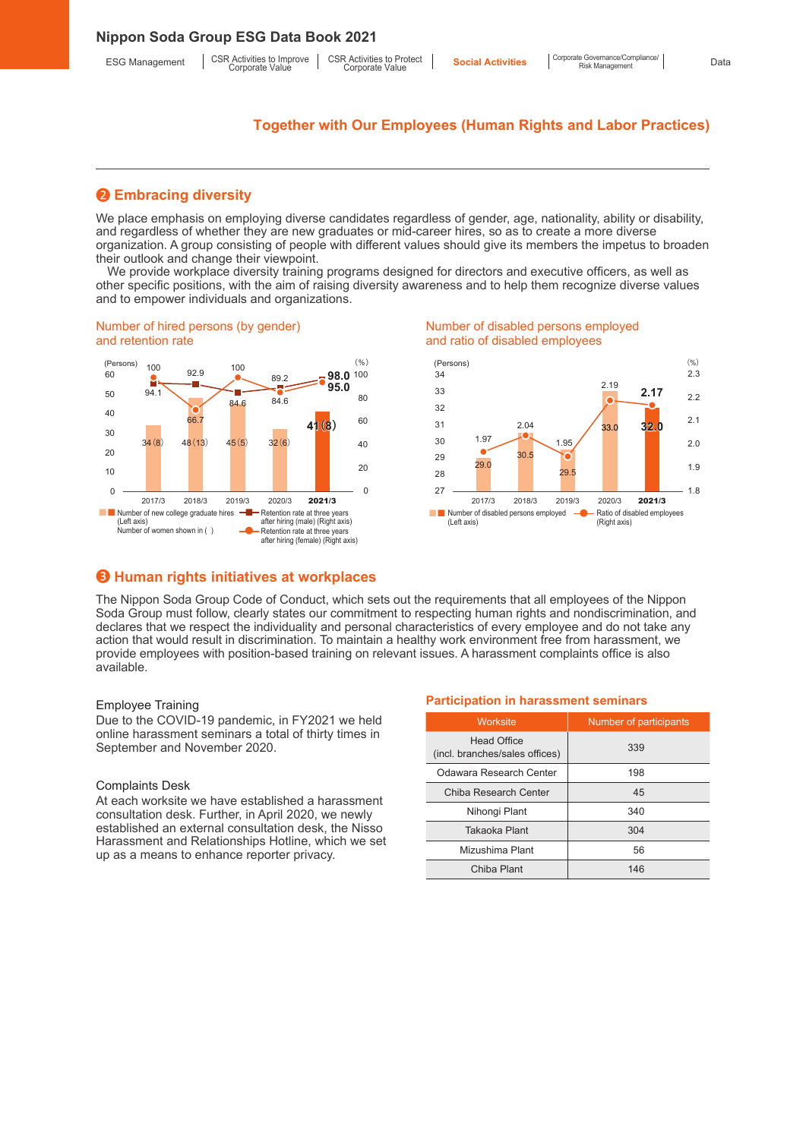## ❷ **Embracing diversity**

We place emphasis on employing diverse candidates regardless of gender, age, nationality, ability or disability, and regardless of whether they are new graduates or mid-career hires, so as to create a more diverse organization. A group consisting of people with different values should give its members the impetus to broaden their outlook and change their viewpoint.

We provide workplace diversity training programs designed for directors and executive officers, as well as other specific positions, with the aim of raising diversity awareness and to help them recognize diverse values and to empower individuals and organizations.

#### Number of hired persons (by gender) and retention rate



#### Number of disabled persons employed and ratio of disabled employees



## ❸ **Human rights initiatives at workplaces**

The Nippon Soda Group Code of Conduct, which sets out the requirements that all employees of the Nippon Soda Group must follow, clearly states our commitment to respecting human rights and nondiscrimination, and declares that we respect the individuality and personal characteristics of every employee and do not take any action that would result in discrimination. To maintain a healthy work environment free from harassment, we provide employees with position-based training on relevant issues. A harassment complaints office is also available.

#### Employee Training

Due to the COVID-19 pandemic, in FY2021 we held online harassment seminars a total of thirty times in September and November 2020.

#### Complaints Desk

At each worksite we have established a harassment consultation desk. Further, in April 2020, we newly established an external consultation desk, the Nisso Harassment and Relationships Hotline, which we set up as a means to enhance reporter privacy.

#### **Participation in harassment seminars**

| Worksite                                             | Number of participants |
|------------------------------------------------------|------------------------|
| <b>Head Office</b><br>(incl. branches/sales offices) | 339                    |
| Odawara Research Center                              | 198                    |
| Chiba Research Center                                | 45                     |
| Nihongi Plant                                        | 340                    |
| Takaoka Plant                                        | 304                    |
| Mizushima Plant                                      | 56                     |
| Chiba Plant                                          | 146                    |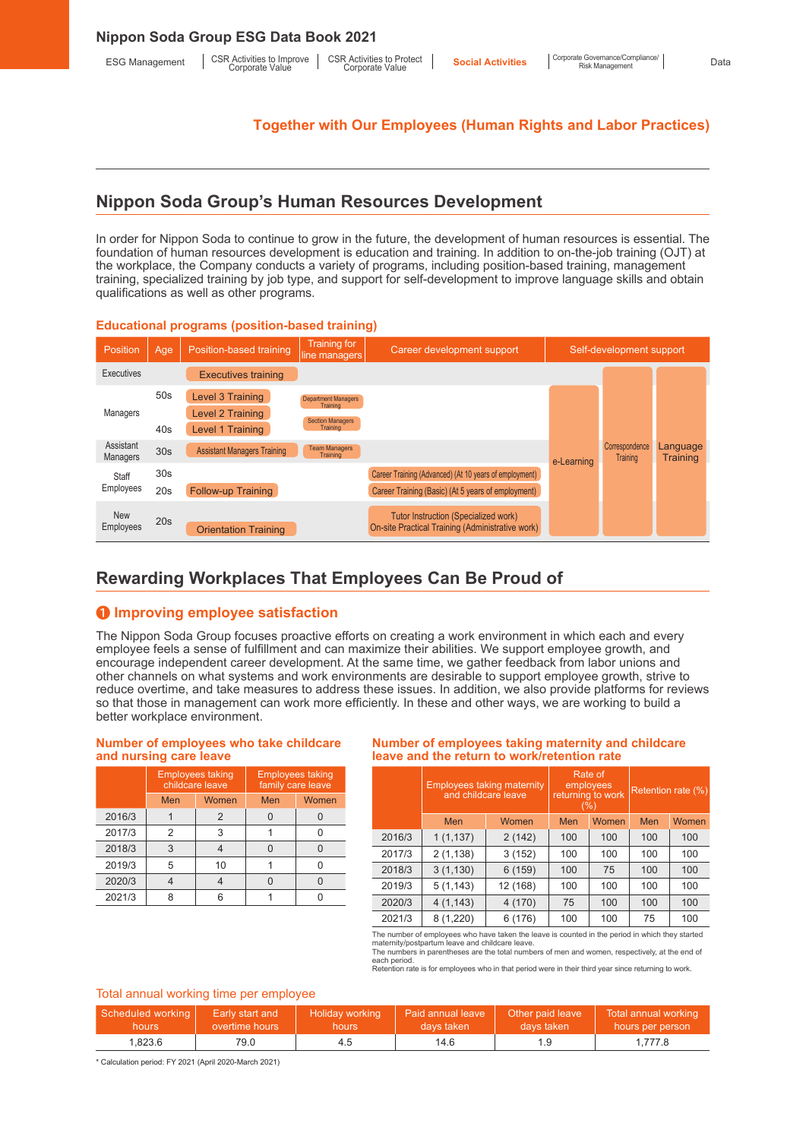# **Nippon Soda Group's Human Resources Development**

In order for Nippon Soda to continue to grow in the future, the development of human resources is essential. The foundation of human resources development is education and training. In addition to on-the-job training (OJT) at the workplace, the Company conducts a variety of programs, including position-based training, management training, specialized training by job type, and support for self-development to improve language skills and obtain qualifications as well as other programs.

#### **Educational programs (position-based training)**

| Position                     | Age                    | Position-based training                                  | <b>Training for</b><br>line managers                                          | Career development support                                                                                   |            | Self-development support          |                             |
|------------------------------|------------------------|----------------------------------------------------------|-------------------------------------------------------------------------------|--------------------------------------------------------------------------------------------------------------|------------|-----------------------------------|-----------------------------|
| Executives                   |                        | <b>Executives training</b>                               |                                                                               |                                                                                                              |            |                                   |                             |
| Managers                     | 50 <sub>s</sub><br>40s | Level 3 Training<br>Level 2 Training<br>Level 1 Training | <b>Department Managers</b><br>Training<br><b>Section Managers</b><br>Training |                                                                                                              |            |                                   |                             |
| Assistant<br><b>Managers</b> | 30 <sub>s</sub>        | <b>Assistant Managers Training</b>                       | <b>Team Managers</b><br>Training                                              |                                                                                                              | e-Learning | Correspondence<br><b>Training</b> | Language<br><b>Training</b> |
| Staff<br>Employees           | 30 <sub>s</sub><br>20s | Follow-up Training                                       |                                                                               | Career Training (Advanced) (At 10 years of employment)<br>Career Training (Basic) (At 5 years of employment) |            |                                   |                             |
| <b>New</b><br>Employees      | 20s                    | <b>Orientation Training</b>                              |                                                                               | <b>Tutor Instruction (Specialized work)</b><br>On-site Practical Training (Administrative work)              |            |                                   |                             |

# **Rewarding Workplaces That Employees Can Be Proud of**

## ❶ **Improving employee satisfaction**

The Nippon Soda Group focuses proactive efforts on creating a work environment in which each and every employee feels a sense of fulfillment and can maximize their abilities. We support employee growth, and encourage independent career development. At the same time, we gather feedback from labor unions and other channels on what systems and work environments are desirable to support employee growth, strive to reduce overtime, and take measures to address these issues. In addition, we also provide platforms for reviews so that those in management can work more efficiently. In these and other ways, we are working to build a better workplace environment.

#### **Number of employees who take childcare and nursing care leave**

|        | <b>Employees taking</b><br>childcare leave<br>Women<br>Men |               | <b>Employees taking</b><br>family care leave |       |  |
|--------|------------------------------------------------------------|---------------|----------------------------------------------|-------|--|
|        |                                                            |               | Men                                          | Women |  |
| 2016/3 |                                                            | $\mathcal{P}$ |                                              |       |  |
| 2017/3 | 2                                                          | 3             |                                              |       |  |
| 2018/3 | 3                                                          |               |                                              |       |  |
| 2019/3 | 5                                                          | 10            |                                              |       |  |
| 2020/3 |                                                            |               |                                              |       |  |
| 2021/3 |                                                            |               |                                              |       |  |

#### **Number of employees taking maternity and childcare leave and the return to work/retention rate**

|        | <b>Employees taking maternity</b><br>and childcare leave |          |     | Rate of<br>employees<br>returning to work<br>(%) | Retention rate (%) |       |
|--------|----------------------------------------------------------|----------|-----|--------------------------------------------------|--------------------|-------|
|        | Men                                                      | Women    | Men | Women                                            | Men                | Women |
| 2016/3 | 1(1,137)                                                 | 2(142)   | 100 | 100                                              | 100                | 100   |
| 2017/3 | 2(1,138)                                                 | 3(152)   | 100 | 100                                              | 100                | 100   |
| 2018/3 | 3(1, 130)                                                | 6(159)   | 100 | 75                                               | 100                | 100   |
| 2019/3 | 5(1, 143)                                                | 12 (168) | 100 | 100                                              | 100                | 100   |
| 2020/3 | 4(1, 143)                                                | 4 (170)  | 75  | 100                                              | 100                | 100   |
| 2021/3 | 8(1,220)                                                 | 6 (176)  | 100 | 100                                              | 75                 | 100   |

The number of employees who have taken the leave is counted in the period in which they started maternity/postpartum leave and childcare leave. The numbers in parentheses are the total numbers of men and women, respectively, at the end of

each period. Retention rate is for employees who in that period were in their third year since returning to work.

#### Total annual working time per employee

| Scheduled working | Earlv start and | Holiday working | Paid annual leave | Other paid leave | Total annual working |
|-------------------|-----------------|-----------------|-------------------|------------------|----------------------|
| hours             | overtime hours  | hours           | davs taken        | davs taken       | hours per person     |
| 1.823.6           | 79.0            | 4.5             | 14.6              |                  | .777.8               |

\* Calculation period: FY 2021 (April 2020-March 2021)